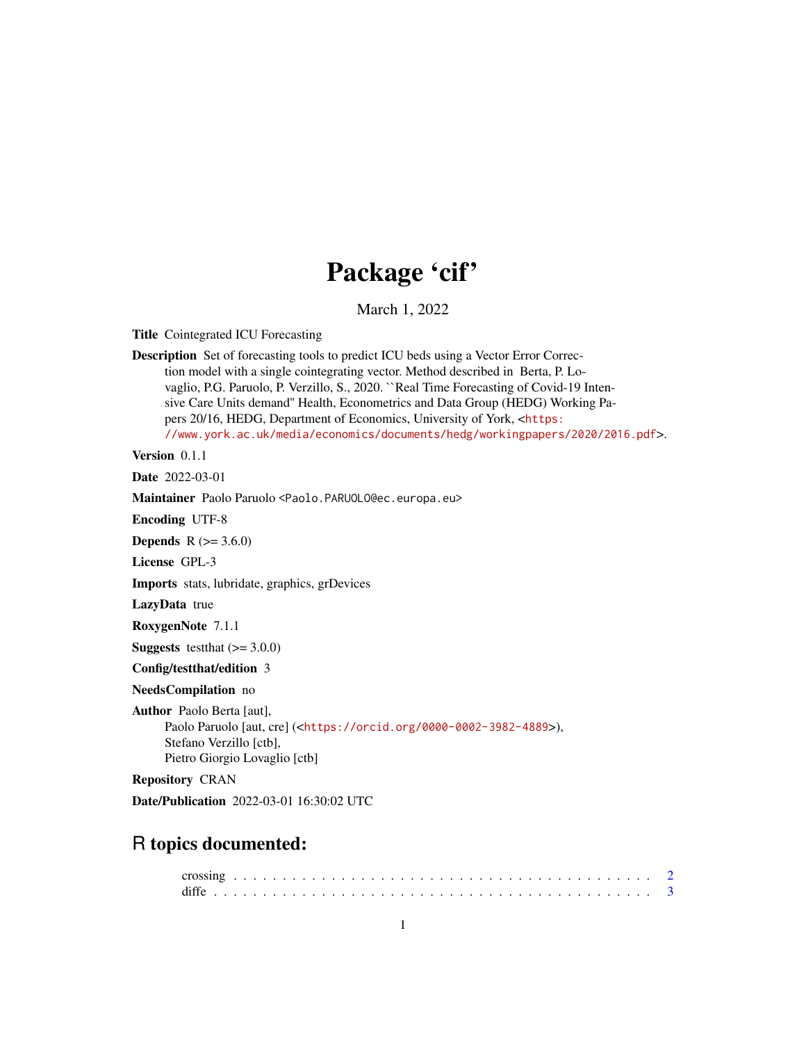# Package 'cif'

March 1, 2022

Title Cointegrated ICU Forecasting

Description Set of forecasting tools to predict ICU beds using a Vector Error Correction model with a single cointegrating vector. Method described in Berta, P. Lovaglio, P.G. Paruolo, P. Verzillo, S., 2020. ``Real Time Forecasting of Covid-19 Intensive Care Units demand'' Health, Econometrics and Data Group (HEDG) Working Papers 20/16, HEDG, Department of Economics, University of York, <[https:](https://www.york.ac.uk/media/economics/documents/hedg/workingpapers/2020/2016.pdf) [//www.york.ac.uk/media/economics/documents/hedg/workingpapers/2020/2016.pdf](https://www.york.ac.uk/media/economics/documents/hedg/workingpapers/2020/2016.pdf)>.

Version 0.1.1

Date 2022-03-01

Maintainer Paolo Paruolo <Paolo.PARUOLO@ec.europa.eu>

Encoding UTF-8

**Depends**  $R$  ( $> = 3.6.0$ )

License GPL-3

Imports stats, lubridate, graphics, grDevices

LazyData true

RoxygenNote 7.1.1

**Suggests** testthat  $(>= 3.0.0)$ 

Config/testthat/edition 3

NeedsCompilation no

Author Paolo Berta [aut], Paolo Paruolo [aut, cre] (<<https://orcid.org/0000-0002-3982-4889>>), Stefano Verzillo [ctb], Pietro Giorgio Lovaglio [ctb]

Repository CRAN

Date/Publication 2022-03-01 16:30:02 UTC

# R topics documented: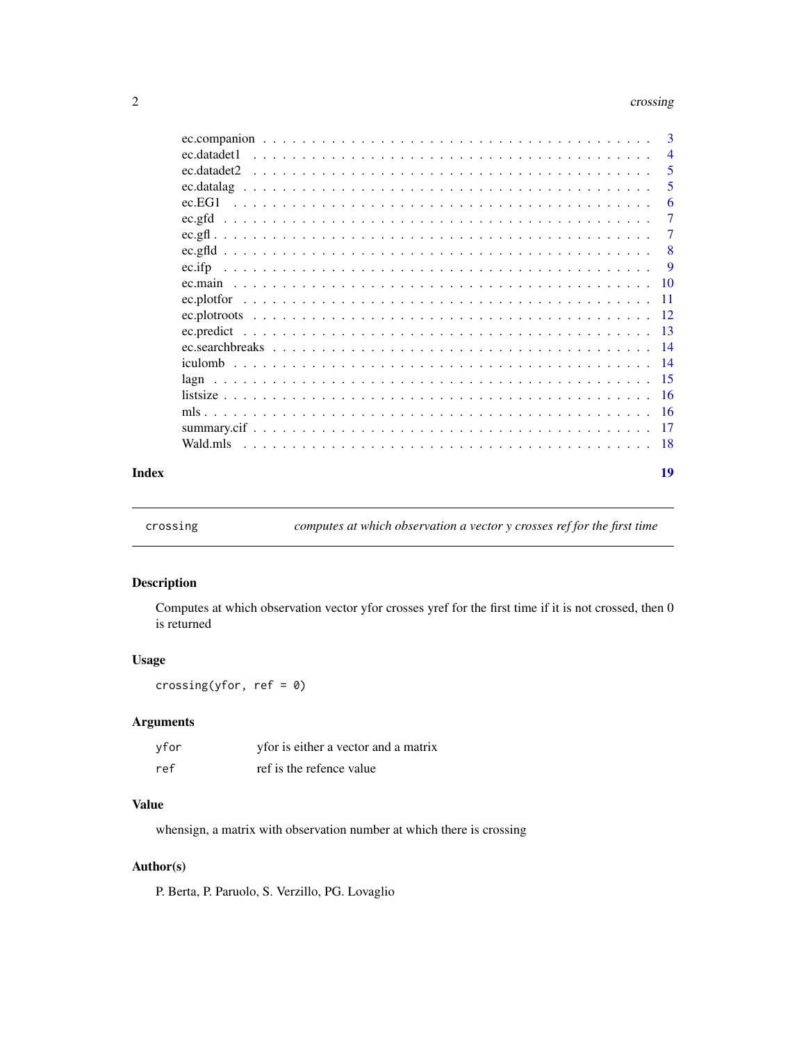#### <span id="page-1-0"></span>2 crossing contract to the contract of the contract of the contract of the contract of the contract of the contract of the contract of the contract of the contract of the contract of the contract of the contract of the con

|       |             | 3               |
|-------|-------------|-----------------|
|       | ec.datadet1 | $\overline{4}$  |
|       | ec.datadet2 | 5               |
|       |             | 5               |
|       | ec.EG1      | 6               |
|       |             | $\tau$          |
|       |             | 7               |
|       |             | -8              |
|       | $ec$ .ifp   | -9              |
|       |             |                 |
|       |             |                 |
|       |             |                 |
|       |             |                 |
|       |             | $\overline{14}$ |
|       |             |                 |
|       |             |                 |
|       |             |                 |
|       |             |                 |
|       |             |                 |
|       | Wald.mls    |                 |
| Index |             | 19              |

crossing *computes at which observation a vector y crosses ref for the first time*

#### Description

Computes at which observation vector yfor crosses yref for the first time if it is not crossed, then 0 is returned

#### Usage

crossing(yfor,  $ref = 0$ )

#### Arguments

| yfor | yfor is either a vector and a matrix |
|------|--------------------------------------|
| ref  | ref is the refence value             |

# Value

whensign, a matrix with observation number at which there is crossing

#### Author(s)

P. Berta, P. Paruolo, S. Verzillo, PG. Lovaglio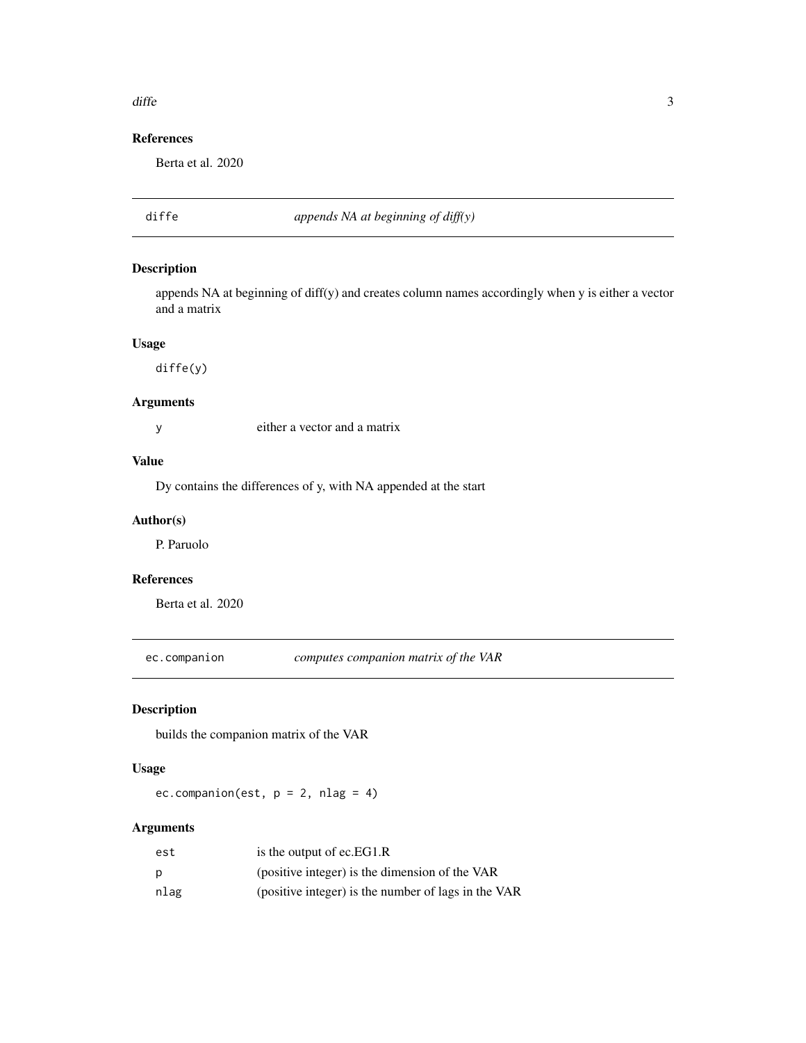#### <span id="page-2-0"></span> $d$ iffe  $\overline{3}$

# References

Berta et al. 2020

diffe *appends NA at beginning of diff(y)*

# Description

appends NA at beginning of diff(y) and creates column names accordingly when y is either a vector and a matrix

#### Usage

diffe(y)

# Arguments

y either a vector and a matrix

# Value

Dy contains the differences of y, with NA appended at the start

#### Author(s)

P. Paruolo

# References

Berta et al. 2020

ec.companion *computes companion matrix of the VAR*

# Description

builds the companion matrix of the VAR

#### Usage

ec.companion(est,  $p = 2$ , nlag = 4)

#### Arguments

| est  | is the output of ec.EG1.R                           |
|------|-----------------------------------------------------|
| p    | (positive integer) is the dimension of the VAR      |
| nlag | (positive integer) is the number of lags in the VAR |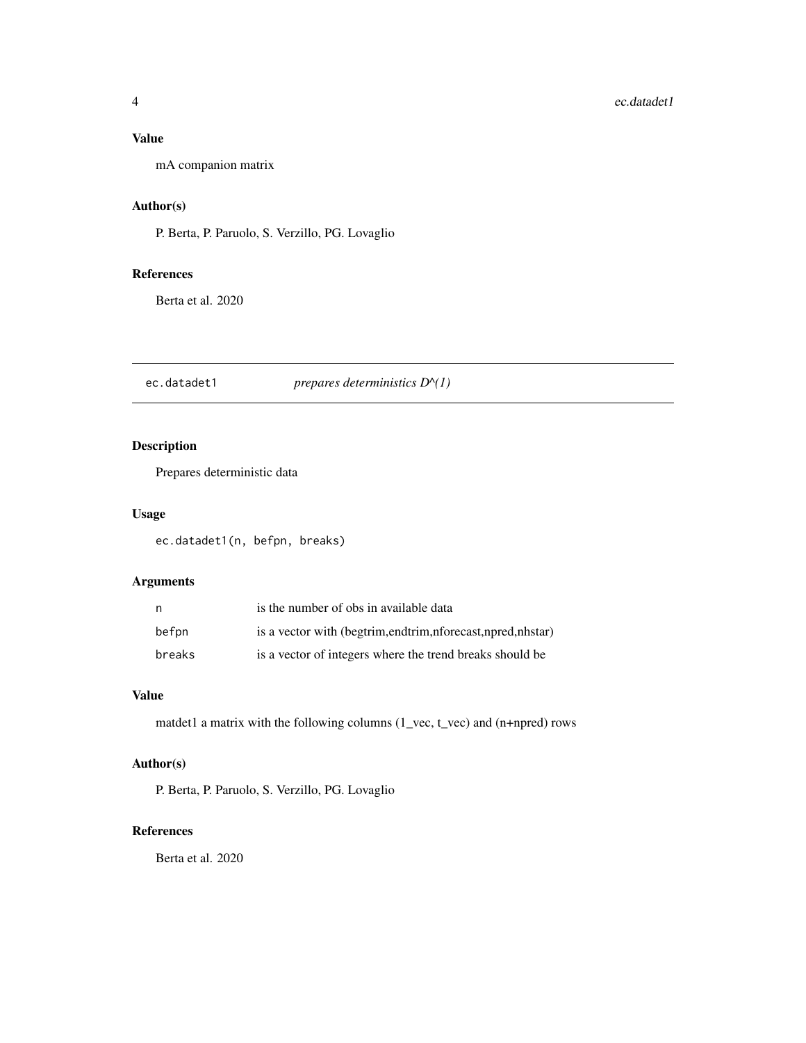#### <span id="page-3-0"></span>Value

mA companion matrix

#### Author(s)

P. Berta, P. Paruolo, S. Verzillo, PG. Lovaglio

#### References

Berta et al. 2020

ec.datadet1 *prepares deterministics D^(1)*

#### Description

Prepares deterministic data

# Usage

ec.datadet1(n, befpn, breaks)

# Arguments

| n      | is the number of obs in available data                             |
|--------|--------------------------------------------------------------------|
| befpn  | is a vector with (begtrim, end trim, n forecast, n pred, n h star) |
| breaks | is a vector of integers where the trend breaks should be           |

#### Value

matdet1 a matrix with the following columns (1\_vec, t\_vec) and (n+npred) rows

# Author(s)

P. Berta, P. Paruolo, S. Verzillo, PG. Lovaglio

#### References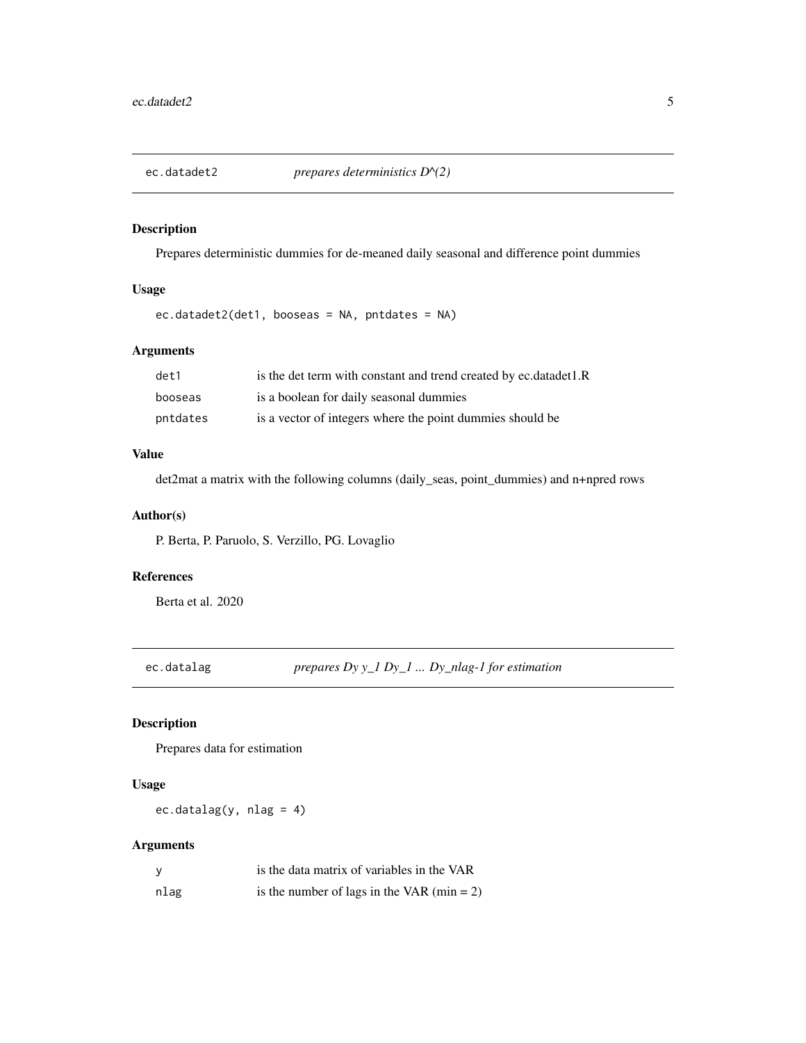<span id="page-4-0"></span>

Prepares deterministic dummies for de-meaned daily seasonal and difference point dummies

# Usage

ec.datadet2(det1, booseas = NA, pntdates = NA)

#### Arguments

| det1     | is the det term with constant and trend created by ec.datadet1.R |
|----------|------------------------------------------------------------------|
| booseas  | is a boolean for daily seasonal dummies                          |
| pntdates | is a vector of integers where the point dummies should be        |

#### Value

det2mat a matrix with the following columns (daily\_seas, point\_dummies) and n+npred rows

#### Author(s)

P. Berta, P. Paruolo, S. Verzillo, PG. Lovaglio

#### References

Berta et al. 2020

ec.datalag *prepares Dy y\_1 Dy\_1 ... Dy\_nlag-1 for estimation*

#### Description

Prepares data for estimation

#### Usage

ec.datalag(y, nlag = 4)

#### Arguments

| <sub>V</sub> | is the data matrix of variables in the VAR |
|--------------|--------------------------------------------|
| nlag         | is the number of lags in the VAR (min = 2) |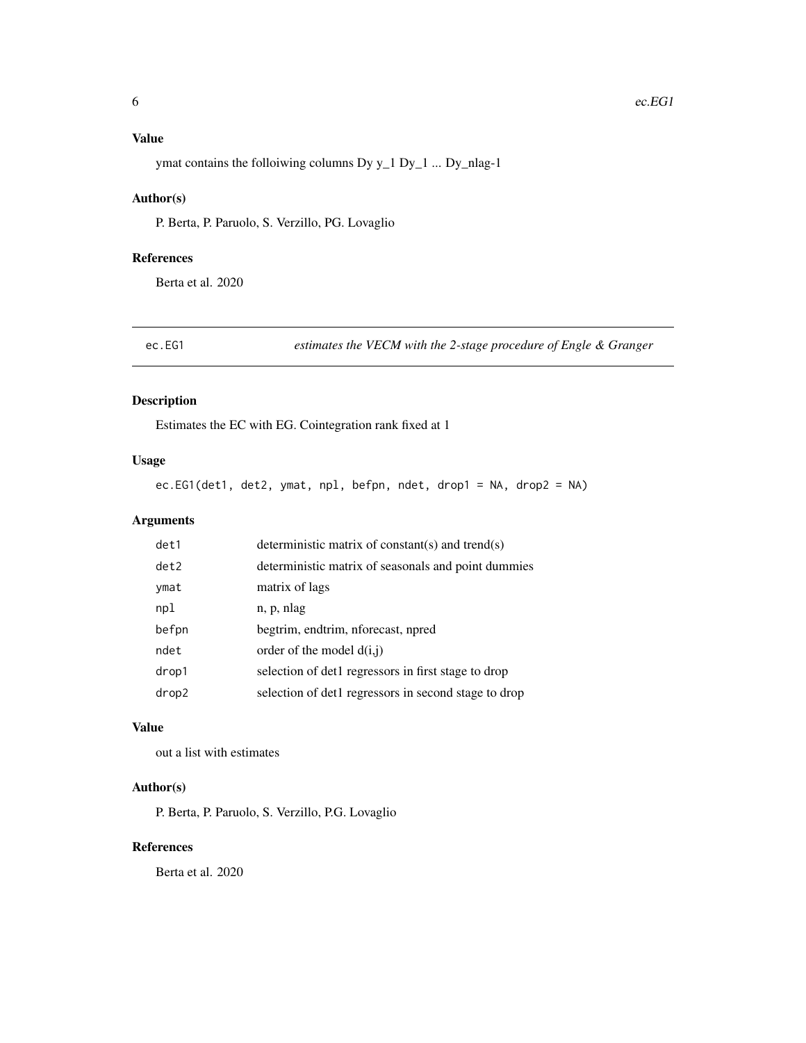### <span id="page-5-0"></span>Value

ymat contains the folloiwing columns Dy y\_1 Dy\_1 ... Dy\_nlag-1

#### Author(s)

P. Berta, P. Paruolo, S. Verzillo, PG. Lovaglio

#### References

Berta et al. 2020

ec.EG1 *estimates the VECM with the 2-stage procedure of Engle & Granger*

#### Description

Estimates the EC with EG. Cointegration rank fixed at 1

#### Usage

ec.EG1(det1, det2, ymat, npl, befpn, ndet, drop1 = NA, drop2 = NA)

#### Arguments

| det1  | deterministic matrix of constant(s) and trend(s)     |
|-------|------------------------------------------------------|
| det2  | deterministic matrix of seasonals and point dummies  |
| ymat  | matrix of lags                                       |
| npl   | n, p, nlag                                           |
| befpn | begtrim, endtrim, nforecast, npred                   |
| ndet  | order of the model $d(i,j)$                          |
| drop1 | selection of det1 regressors in first stage to drop  |
| drop2 | selection of det1 regressors in second stage to drop |

#### Value

out a list with estimates

#### Author(s)

P. Berta, P. Paruolo, S. Verzillo, P.G. Lovaglio

#### References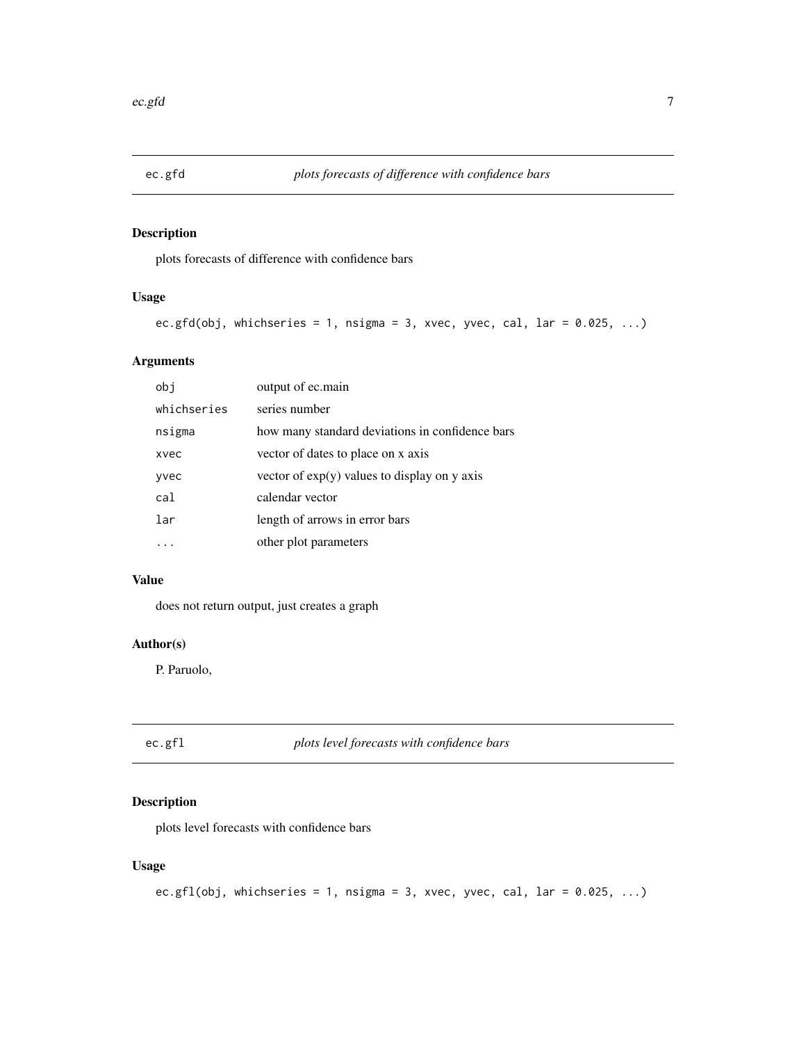<span id="page-6-0"></span>

plots forecasts of difference with confidence bars

# Usage

```
ec.gfd(obj, whichseries = 1, nsigma = 3, xvec, yvec, cal, lar = 0.025, ...)
```
#### Arguments

| obi         | output of ec.main                               |
|-------------|-------------------------------------------------|
| whichseries | series number                                   |
| nsigma      | how many standard deviations in confidence bars |
| xvec        | vector of dates to place on x axis              |
| yvec        | vector of $exp(y)$ values to display on y axis  |
| cal         | calendar vector                                 |
| lar         | length of arrows in error bars                  |
|             | other plot parameters                           |

# Value

does not return output, just creates a graph

# Author(s)

P. Paruolo,

ec.gfl *plots level forecasts with confidence bars*

#### Description

plots level forecasts with confidence bars

#### Usage

```
ec.gfl(obj, whichseries = 1, nsigma = 3, xvec, yvec, cal, lar = 0.025, ...)
```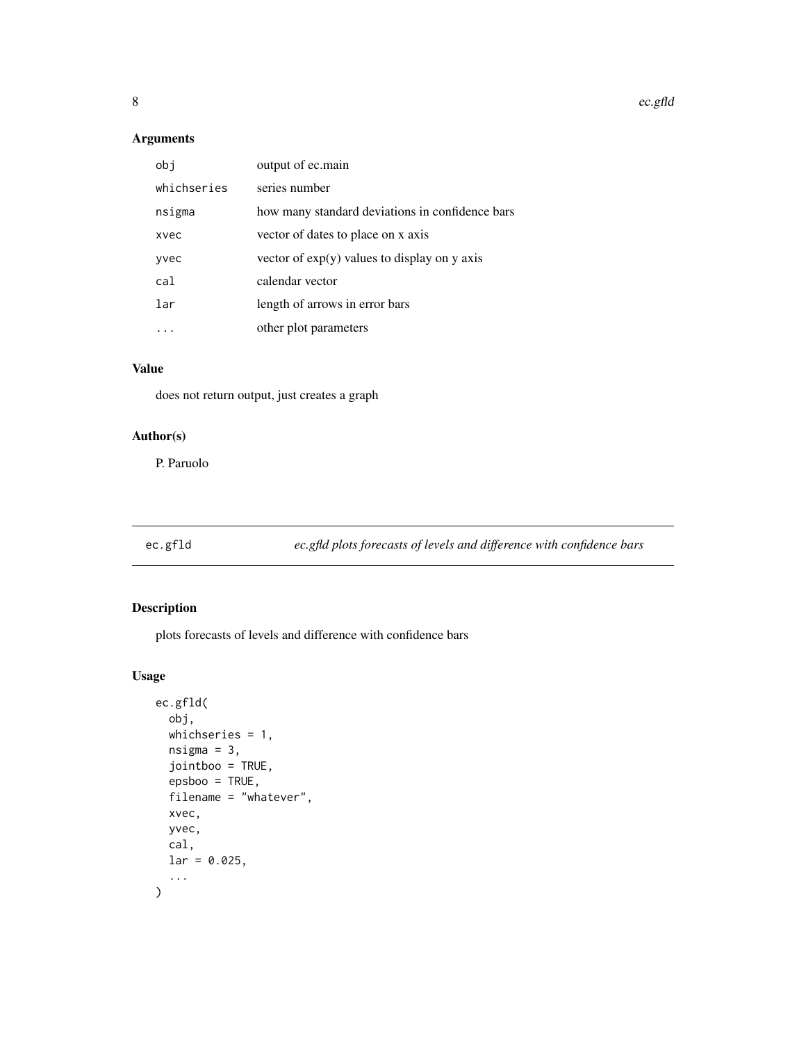# <span id="page-7-0"></span>Arguments

| obi         | output of ec.main                               |
|-------------|-------------------------------------------------|
| whichseries | series number                                   |
| nsigma      | how many standard deviations in confidence bars |
| xvec        | vector of dates to place on x axis              |
| yvec        | vector of $exp(y)$ values to display on y axis  |
| cal         | calendar vector                                 |
| lar         | length of arrows in error bars                  |
|             | other plot parameters                           |

#### Value

does not return output, just creates a graph

# Author(s)

P. Paruolo

ec.gfld *ec.gfld plots forecasts of levels and difference with confidence bars*

# Description

plots forecasts of levels and difference with confidence bars

# Usage

```
ec.gfld(
  obj,
  whichseries = 1,
  nsigma = 3,
  jointboo = TRUE,
  epsboo = TRUE,
  filename = "whatever",
  xvec,
  yvec,
  cal,
  lar = 0.025,...
\overline{\phantom{a}}
```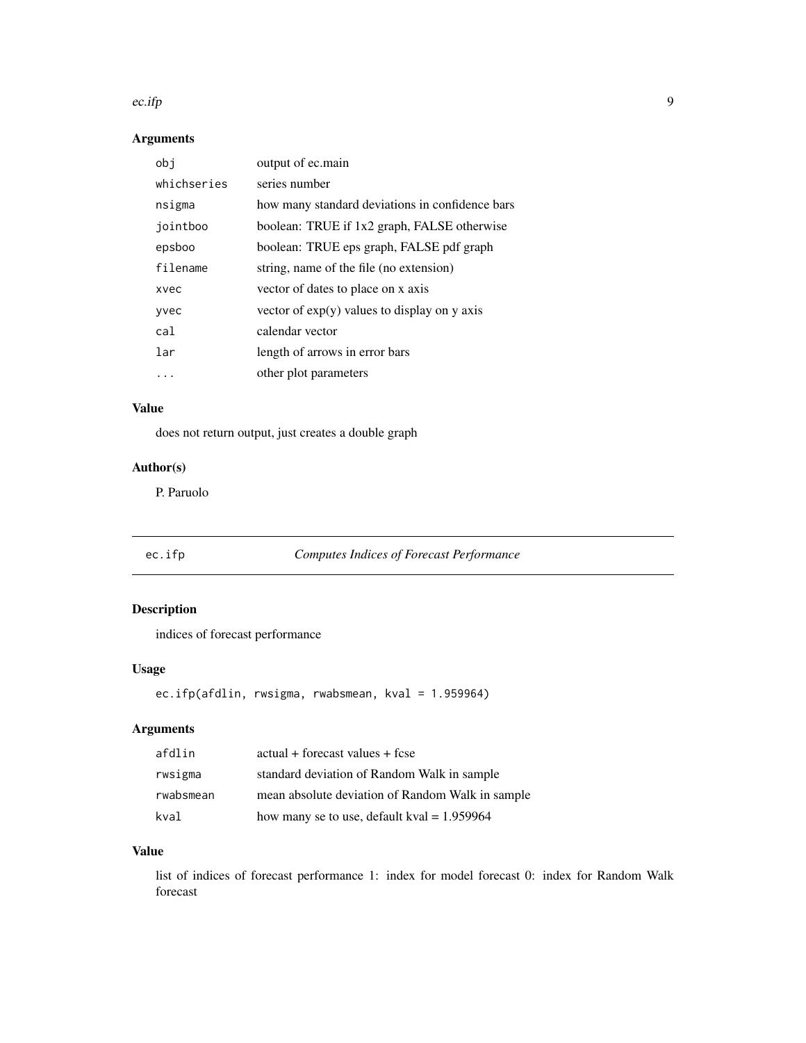#### <span id="page-8-0"></span>ec.ifp  $\qquad \qquad 9$

# Arguments

| obj         | output of ec.main                               |
|-------------|-------------------------------------------------|
| whichseries | series number                                   |
| nsigma      | how many standard deviations in confidence bars |
| jointboo    | boolean: TRUE if 1x2 graph, FALSE otherwise     |
| epsboo      | boolean: TRUE eps graph, FALSE pdf graph        |
| filename    | string, name of the file (no extension)         |
| xvec        | vector of dates to place on x axis              |
| yvec        | vector of $exp(y)$ values to display on y axis  |
| cal         | calendar vector                                 |
| lar         | length of arrows in error bars                  |
|             | other plot parameters                           |

# Value

does not return output, just creates a double graph

# Author(s)

P. Paruolo

| ec.ifp |  |  |
|--------|--|--|
|        |  |  |

# ec.ifp *Computes Indices of Forecast Performance*

# Description

indices of forecast performance

#### Usage

ec.ifp(afdlin, rwsigma, rwabsmean, kval = 1.959964)

# Arguments

| afdlin    | actual + forecast values + fcse                  |
|-----------|--------------------------------------------------|
| rwsigma   | standard deviation of Random Walk in sample      |
| rwabsmean | mean absolute deviation of Random Walk in sample |
| kval      | how many se to use, default kval = $1.959964$    |

#### Value

list of indices of forecast performance 1: index for model forecast 0: index for Random Walk forecast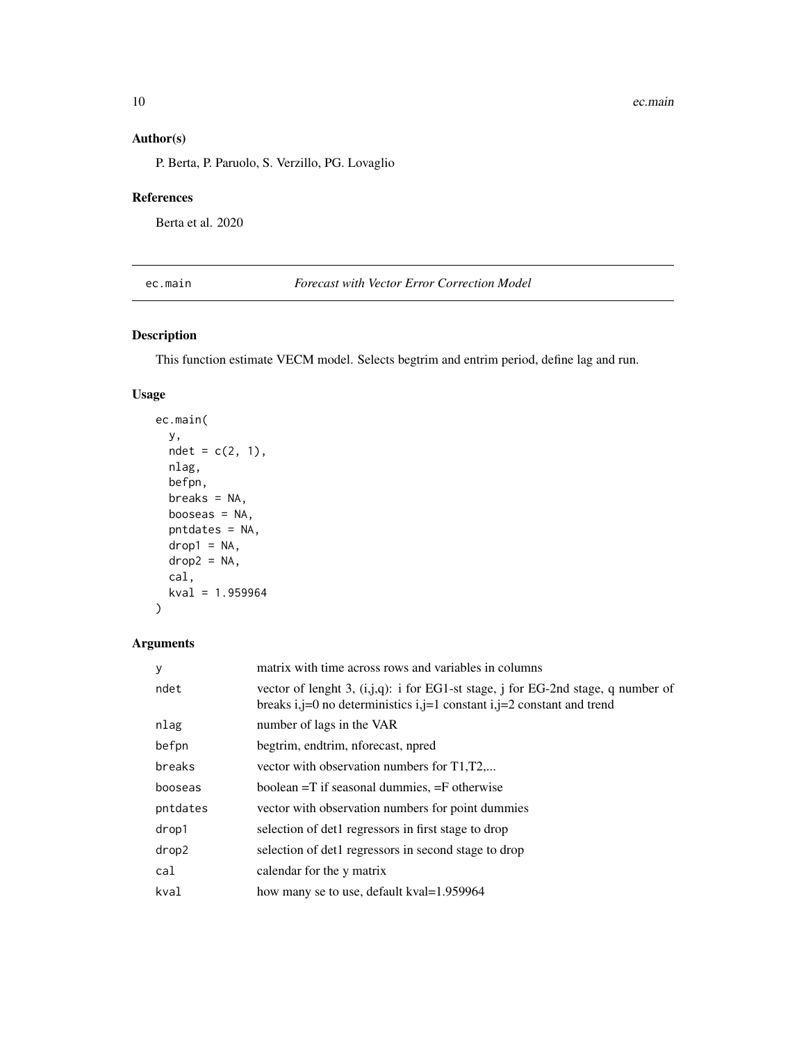# <span id="page-9-0"></span>Author(s)

P. Berta, P. Paruolo, S. Verzillo, PG. Lovaglio

#### References

Berta et al. 2020

ec.main *Forecast with Vector Error Correction Model*

#### Description

This function estimate VECM model. Selects begtrim and entrim period, define lag and run.

#### Usage

```
ec.main(
 y,
 ndet = c(2, 1),nlag,
 befpn,
 breaks = NA,
 booseas = NA,
 pntdates = NA,
 drop1 = NA,
 drop2 = NA,
 cal,
 kval = 1.959964
```

```
)
```
#### Arguments

| y        | matrix with time across rows and variables in columns                                                                                                         |
|----------|---------------------------------------------------------------------------------------------------------------------------------------------------------------|
| ndet     | vector of lenght 3, $(i,j,q)$ : i for EG1-st stage, j for EG-2nd stage, q number of<br>breaks i,j=0 no deterministics i,j=1 constant i,j=2 constant and trend |
| nlag     | number of lags in the VAR                                                                                                                                     |
| befpn    | begtrim, endtrim, nforecast, npred                                                                                                                            |
| breaks   | vector with observation numbers for T1, T2                                                                                                                    |
| booseas  | boolean $=T$ if seasonal dummies, $=F$ otherwise                                                                                                              |
| pntdates | vector with observation numbers for point dummies                                                                                                             |
| drop1    | selection of det1 regressors in first stage to drop                                                                                                           |
| drop2    | selection of det1 regressors in second stage to drop                                                                                                          |
| cal      | calendar for the y matrix                                                                                                                                     |
| kval     | how many se to use, default kval=1.959964                                                                                                                     |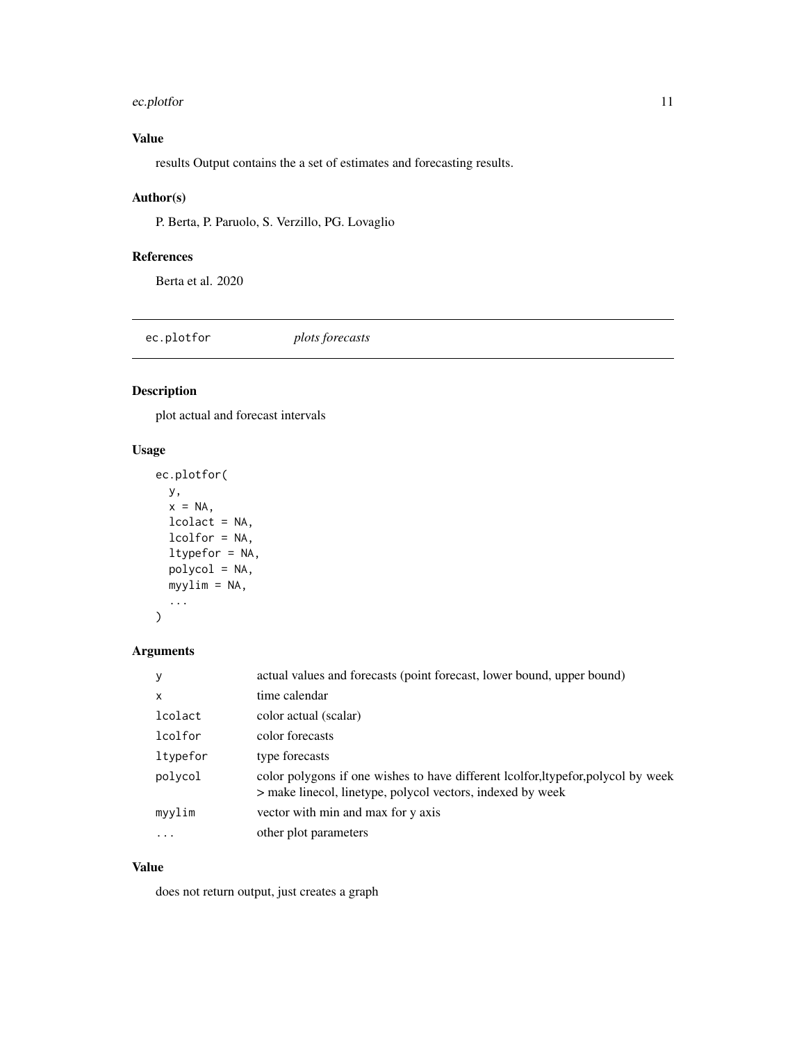#### <span id="page-10-0"></span>ec.plotfor the contract of the contract of the contract of the contract of the contract of the contract of the contract of the contract of the contract of the contract of the contract of the contract of the contract of the

# Value

results Output contains the a set of estimates and forecasting results.

#### Author(s)

P. Berta, P. Paruolo, S. Verzillo, PG. Lovaglio

#### References

Berta et al. 2020

ec.plotfor *plots forecasts*

# Description

plot actual and forecast intervals

# Usage

```
ec.plotfor(
  y,
  x = NA,
  lcolact = NA,
  lcolfor = NA,
  ltypefor = NA,
  polycol = NA,
  myylim = NA,
  ...
\mathcal{L}
```
#### Arguments

| y            | actual values and forecasts (point forecast, lower bound, upper bound)                                                                         |
|--------------|------------------------------------------------------------------------------------------------------------------------------------------------|
| $\mathsf{x}$ | time calendar                                                                                                                                  |
| lcolact      | color actual (scalar)                                                                                                                          |
| lcolfor      | color forecasts                                                                                                                                |
| ltypefor     | type forecasts                                                                                                                                 |
| polycol      | color polygons if one wishes to have different lcolfor, hypefor, polycol by week<br>> make linecol, linetype, polycol vectors, indexed by week |
| myylim       | vector with min and max for y axis                                                                                                             |
| $\ddotsc$    | other plot parameters                                                                                                                          |

#### Value

does not return output, just creates a graph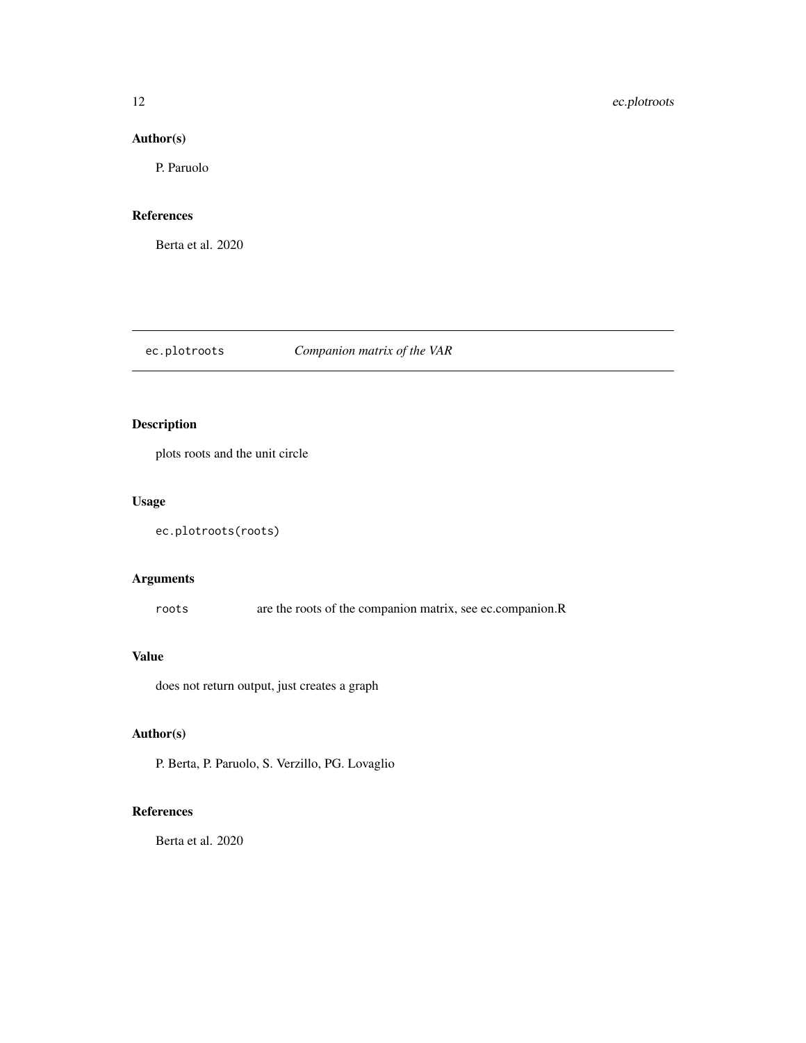#### <span id="page-11-0"></span>Author(s)

P. Paruolo

#### References

Berta et al. 2020

# ec.plotroots *Companion matrix of the VAR*

#### Description

plots roots and the unit circle

#### Usage

```
ec.plotroots(roots)
```
# Arguments

roots are the roots of the companion matrix, see ec.companion.R

#### Value

does not return output, just creates a graph

# Author(s)

P. Berta, P. Paruolo, S. Verzillo, PG. Lovaglio

# References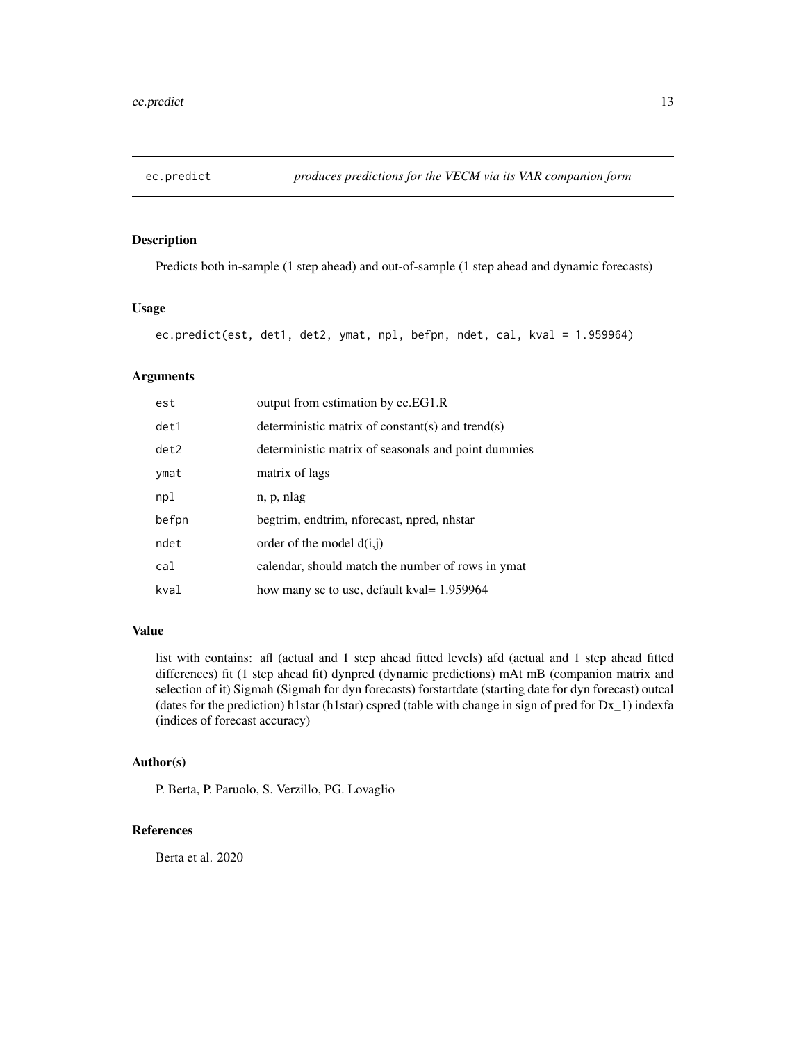<span id="page-12-0"></span>

Predicts both in-sample (1 step ahead) and out-of-sample (1 step ahead and dynamic forecasts)

#### Usage

```
ec.predict(est, det1, det2, ymat, npl, befpn, ndet, cal, kval = 1.959964)
```
### Arguments

| est   | output from estimation by ec.EG1.R                  |
|-------|-----------------------------------------------------|
| det1  | deterministic matrix of constant(s) and trend(s)    |
| det2  | deterministic matrix of seasonals and point dummies |
| ymat  | matrix of lags                                      |
| npl   | n, p, nlag                                          |
| befpn | begtrim, endtrim, nforecast, npred, nhstar          |
| ndet  | order of the model $d(i, j)$                        |
| cal   | calendar, should match the number of rows in ymat   |
| kval  | how many se to use, default kval = 1.959964         |

#### Value

list with contains: afl (actual and 1 step ahead fitted levels) afd (actual and 1 step ahead fitted differences) fit (1 step ahead fit) dynpred (dynamic predictions) mAt mB (companion matrix and selection of it) Sigmah (Sigmah for dyn forecasts) forstartdate (starting date for dyn forecast) outcal (dates for the prediction) h1star (h1star) cspred (table with change in sign of pred for  $Dx_1$ ) indexfa (indices of forecast accuracy)

#### Author(s)

P. Berta, P. Paruolo, S. Verzillo, PG. Lovaglio

#### References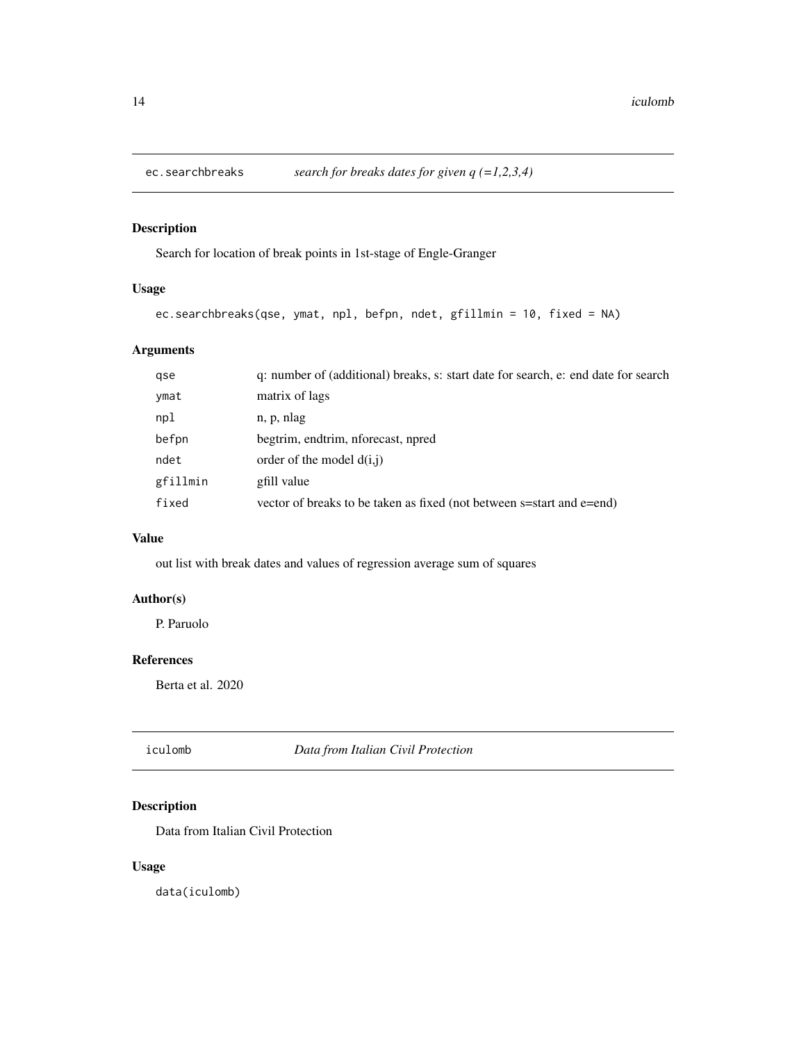<span id="page-13-0"></span>

Search for location of break points in 1st-stage of Engle-Granger

#### Usage

```
ec.searchbreaks(qse, ymat, npl, befpn, ndet, gfillmin = 10, fixed = NA)
```
# Arguments

| gse      | q: number of (additional) breaks, s: start date for search, e: end date for search |
|----------|------------------------------------------------------------------------------------|
| ymat     | matrix of lags                                                                     |
| npl      | n, p, nlag                                                                         |
| befpn    | begtrim, endtrim, nforecast, npred                                                 |
| ndet     | order of the model $d(i, j)$                                                       |
| gfillmin | gfill value                                                                        |
| fixed    | vector of breaks to be taken as fixed (not between s=start and e=end)              |
|          |                                                                                    |

#### Value

out list with break dates and values of regression average sum of squares

# Author(s)

P. Paruolo

# References

Berta et al. 2020

iculomb *Data from Italian Civil Protection*

# Description

Data from Italian Civil Protection

#### Usage

data(iculomb)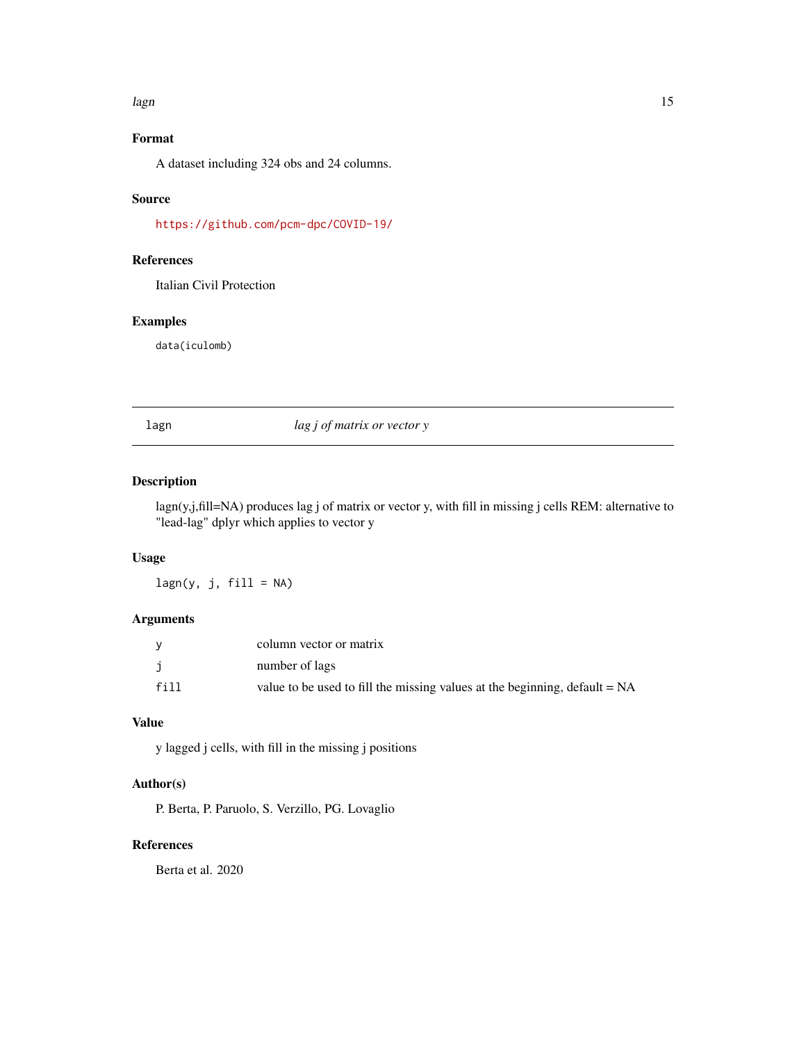#### <span id="page-14-0"></span>lagn the contract of the contract of the contract of the contract of the contract of the contract of the contract of the contract of the contract of the contract of the contract of the contract of the contract of the contr

# Format

A dataset including 324 obs and 24 columns.

# Source

<https://github.com/pcm-dpc/COVID-19/>

#### References

Italian Civil Protection

#### Examples

data(iculomb)

lagn *lag j of matrix or vector y*

# Description

lagn(y,j,fill=NA) produces lag j of matrix or vector y, with fill in missing j cells REM: alternative to "lead-lag" dplyr which applies to vector y

# Usage

 $lagn(y, j, fill = NA)$ 

#### Arguments

|      | column vector or matrix                                                      |
|------|------------------------------------------------------------------------------|
| j    | number of lags                                                               |
| fill | value to be used to fill the missing values at the beginning, $default = NA$ |

#### Value

y lagged j cells, with fill in the missing j positions

### Author(s)

P. Berta, P. Paruolo, S. Verzillo, PG. Lovaglio

# References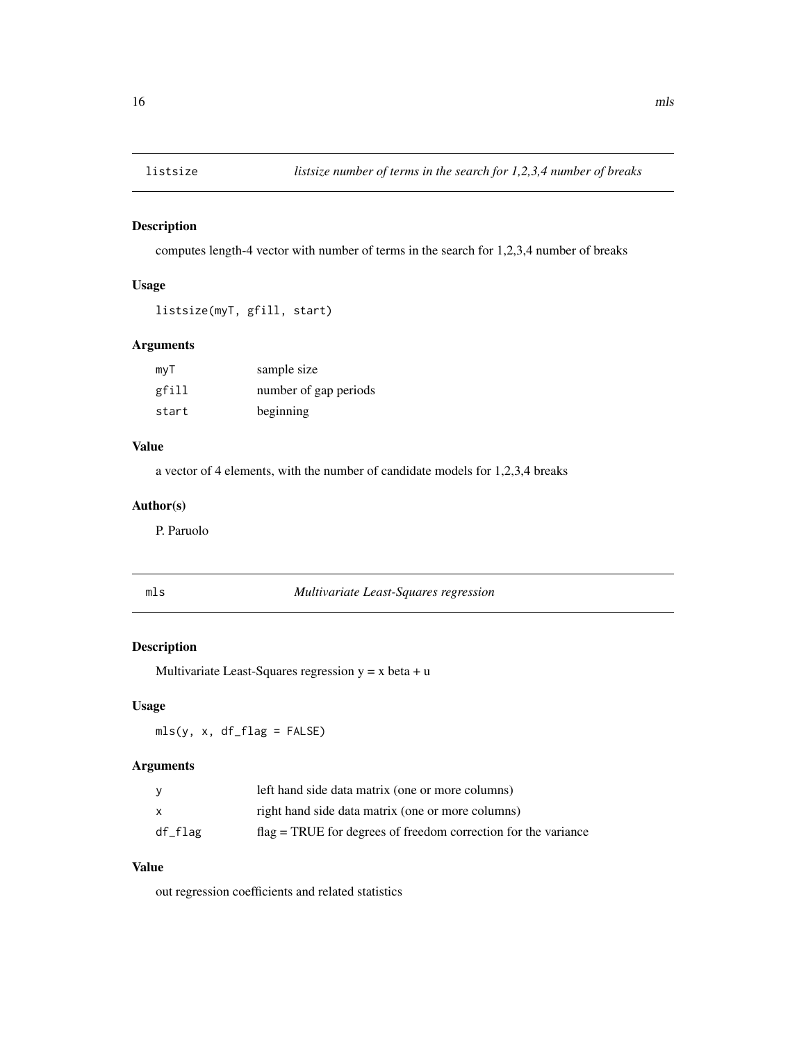<span id="page-15-0"></span>

computes length-4 vector with number of terms in the search for 1,2,3,4 number of breaks

# Usage

```
listsize(myT, gfill, start)
```
#### Arguments

| myT   | sample size           |
|-------|-----------------------|
| gfill | number of gap periods |
| start | beginning             |

#### Value

a vector of 4 elements, with the number of candidate models for 1,2,3,4 breaks

#### Author(s)

P. Paruolo

| ×<br>$\sim$ |
|-------------|

 $Multivariate$  *Least-Squares regression* 

#### Description

Multivariate Least-Squares regression  $y = x$  beta  $+ u$ 

#### Usage

mls(y, x, df\_flag = FALSE)

#### Arguments

| <b>V</b> | left hand side data matrix (one or more columns)                 |
|----------|------------------------------------------------------------------|
| X        | right hand side data matrix (one or more columns)                |
| df_flag  | $flag = TRUE$ for degrees of freedom correction for the variance |

## Value

out regression coefficients and related statistics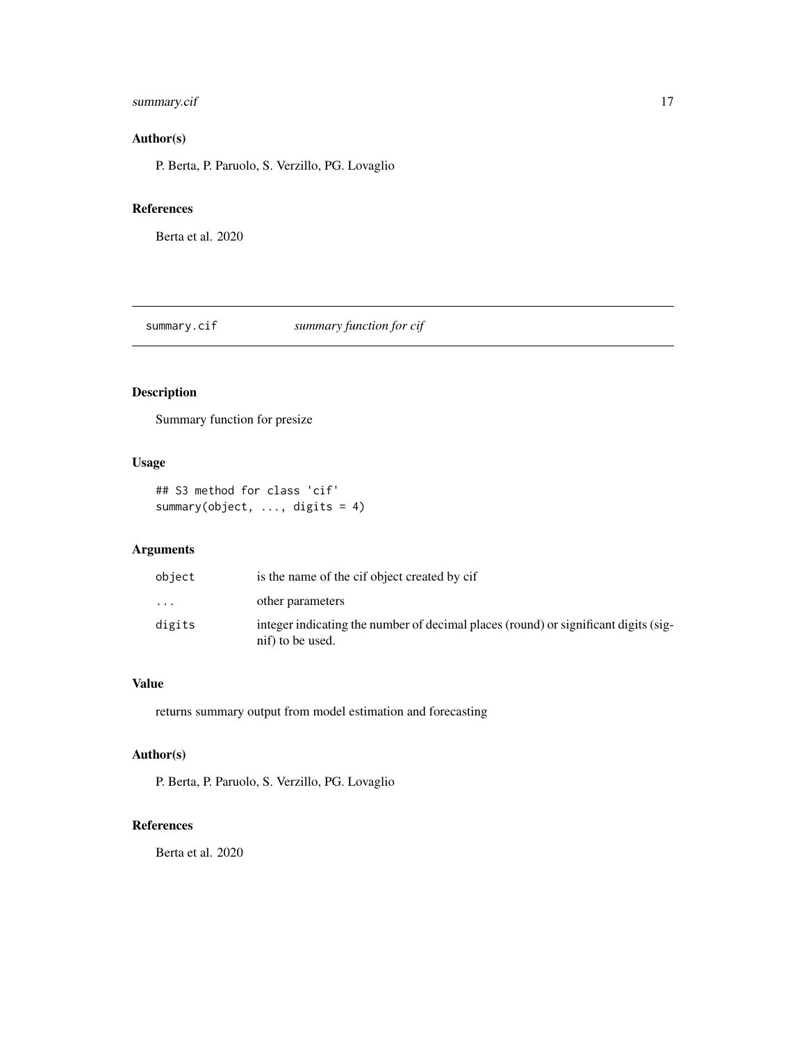#### <span id="page-16-0"></span>summary.cif 17

# Author(s)

P. Berta, P. Paruolo, S. Verzillo, PG. Lovaglio

#### References

Berta et al. 2020

summary.cif *summary function for cif*

# Description

Summary function for presize

#### Usage

## S3 method for class 'cif' summary(object, ..., digits = 4)

#### Arguments

| object    | is the name of the cif object created by cif                                                            |
|-----------|---------------------------------------------------------------------------------------------------------|
| $\ddotsc$ | other parameters                                                                                        |
| digits    | integer indicating the number of decimal places (round) or significant digits (sig-<br>nif) to be used. |

#### Value

returns summary output from model estimation and forecasting

#### Author(s)

P. Berta, P. Paruolo, S. Verzillo, PG. Lovaglio

# References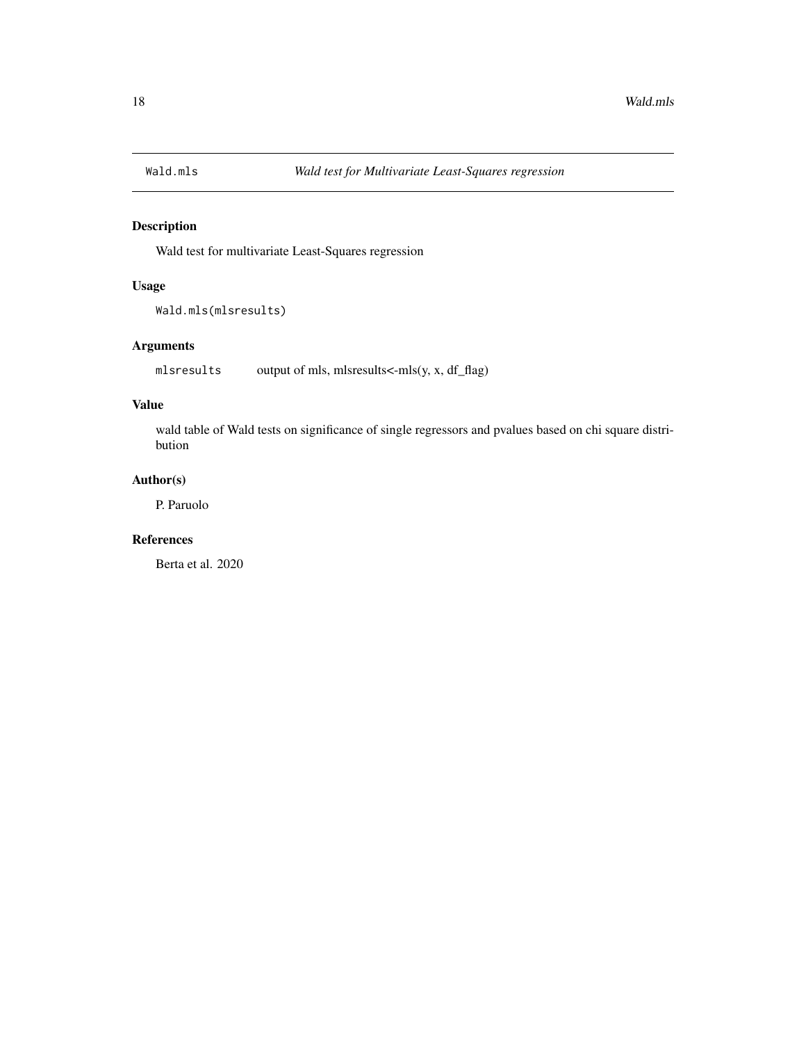<span id="page-17-0"></span>

Wald test for multivariate Least-Squares regression

#### Usage

```
Wald.mls(mlsresults)
```
#### Arguments

mlsresults output of mls, mlsresults<-mls(y, x, df\_flag)

#### Value

wald table of Wald tests on significance of single regressors and pvalues based on chi square distribution

# Author(s)

P. Paruolo

### References